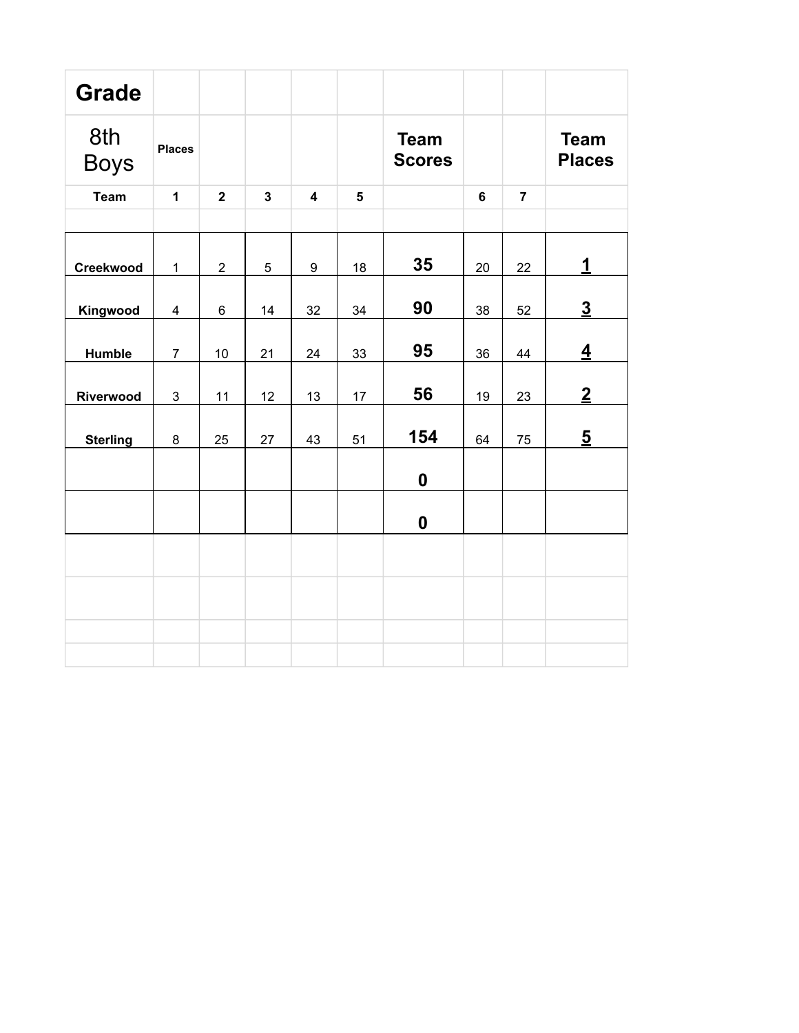| <b>Grade</b>       |                |                |                         |                         |                         |                              |                |                |                              |
|--------------------|----------------|----------------|-------------------------|-------------------------|-------------------------|------------------------------|----------------|----------------|------------------------------|
| 8th<br><b>Boys</b> | <b>Places</b>  |                |                         |                         |                         | <b>Team</b><br><b>Scores</b> |                |                | <b>Team</b><br><b>Places</b> |
| <b>Team</b>        | $\mathbf{1}$   | $\overline{2}$ | $\overline{\mathbf{3}}$ | $\overline{\mathbf{4}}$ | $\overline{\mathbf{5}}$ |                              | $6\phantom{a}$ | $\overline{7}$ |                              |
|                    |                |                |                         |                         |                         |                              |                |                |                              |
| Creekwood          | $\mathbf 1$    | $\overline{2}$ | 5                       | 9                       | 18                      | 35                           | 20             | 22             | $\mathbf 1$                  |
| Kingwood           | 4              | $\,6\,$        | 14                      | 32                      | 34                      | 90                           | 38             | 52             | $\underline{3}$              |
| <b>Humble</b>      | $\overline{7}$ | 10             | 21                      | 24                      | 33                      | 95                           | 36             | 44             | $\overline{4}$               |
| Riverwood          | $\mathfrak{S}$ | 11             | 12                      | 13                      | 17                      | 56                           | 19             | 23             | $\overline{2}$               |
| <b>Sterling</b>    | 8              | 25             | 27                      | 43                      | 51                      | 154                          | 64             | 75             | $\overline{5}$               |
|                    |                |                |                         |                         |                         | $\mathbf 0$                  |                |                |                              |
|                    |                |                |                         |                         |                         | $\boldsymbol{0}$             |                |                |                              |
|                    |                |                |                         |                         |                         |                              |                |                |                              |
|                    |                |                |                         |                         |                         |                              |                |                |                              |
|                    |                |                |                         |                         |                         |                              |                |                |                              |
|                    |                |                |                         |                         |                         |                              |                |                |                              |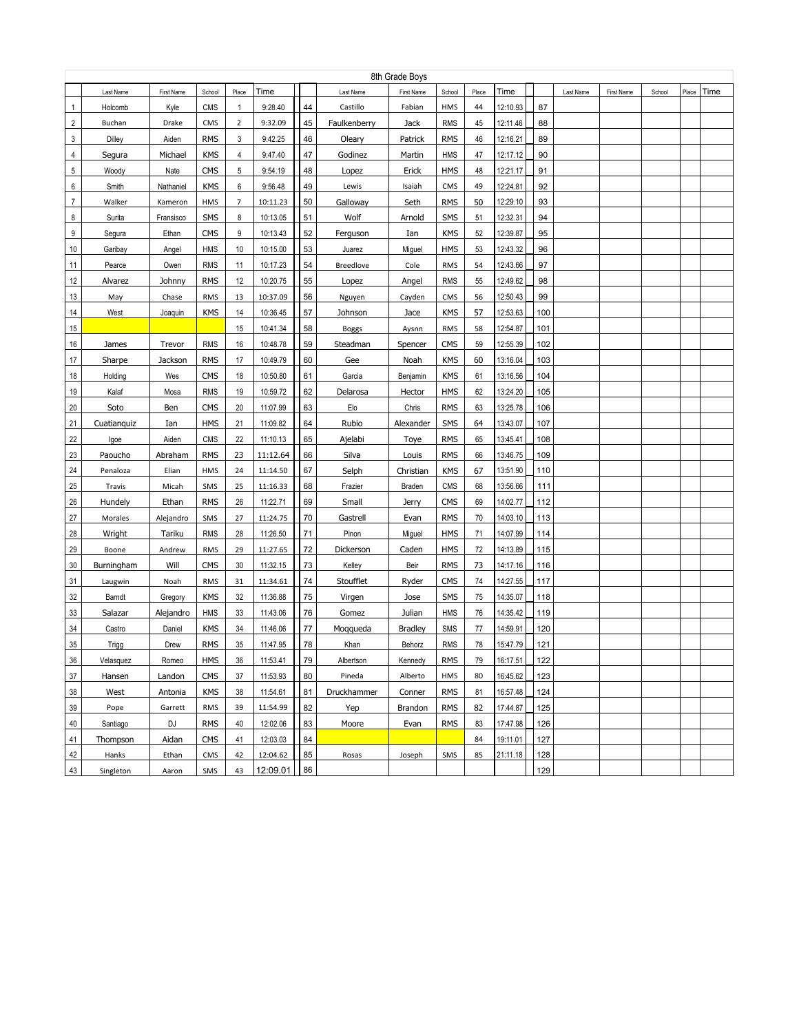|    | 8th Grade Boys |            |            |       |          |    |                  |                |            |       |          |     |           |            |        |       |      |
|----|----------------|------------|------------|-------|----------|----|------------------|----------------|------------|-------|----------|-----|-----------|------------|--------|-------|------|
|    | Last Name      | First Name | School     | Place | Time     |    | Last Name        | First Name     | School     | Place | Time     |     | Last Name | First Name | School | Place | Time |
| 1  | Holcomb        | Kyle       | CMS        | 1     | 9:28.40  | 44 | Castillo         | Fabian         | HMS        | 44    | 12:10.93 | 87  |           |            |        |       |      |
| 2  | Buchan         | Drake      | CMS        | 2     | 9:32.09  | 45 | Faulkenberry     | Jack           | <b>RMS</b> | 45    | 12:11.46 | 88  |           |            |        |       |      |
| 3  | Dilley         | Aiden      | <b>RMS</b> | 3     | 9:42.25  | 46 | Oleary           | Patrick        | <b>RMS</b> | 46    | 12:16.21 | 89  |           |            |        |       |      |
| 4  | Segura         | Michael    | <b>KMS</b> | 4     | 9:47.40  | 47 | Godinez          | Martin         | <b>HMS</b> | 47    | 12:17.12 | 90  |           |            |        |       |      |
| 5  | Woody          | Nate       | <b>CMS</b> | 5     | 9:54.19  | 48 | Lopez            | Erick          | <b>HMS</b> | 48    | 12:21.17 | 91  |           |            |        |       |      |
| 6  | Smith          | Nathaniel  | <b>KMS</b> | 6     | 9:56.48  | 49 | Lewis            | Isaiah         | CMS        | 49    | 12:24.81 | 92  |           |            |        |       |      |
| 7  | Walker         | Kameron    | HMS        | 7     | 10:11.23 | 50 | Galloway         | Seth           | <b>RMS</b> | 50    | 12:29.10 | 93  |           |            |        |       |      |
| 8  | Surita         | Fransisco  | SMS        | 8     | 10:13.05 | 51 | Wolf             | Arnold         | SMS        | 51    | 12:32.31 | 94  |           |            |        |       |      |
| 9  | Segura         | Ethan      | <b>CMS</b> | 9     | 10:13.43 | 52 | Ferguson         | Ian            | <b>KMS</b> | 52    | 12:39.87 | 95  |           |            |        |       |      |
| 10 | Garibay        | Angel      | <b>HMS</b> | 10    | 10:15.00 | 53 | Juarez           | Miguel         | <b>HMS</b> | 53    | 12:43.32 | 96  |           |            |        |       |      |
| 11 | Pearce         | Owen       | <b>RMS</b> | 11    | 10:17.23 | 54 | <b>Breedlove</b> | Cole           | <b>RMS</b> | 54    | 12:43.66 | 97  |           |            |        |       |      |
| 12 | Alvarez        | Johnny     | <b>RMS</b> | 12    | 10:20.75 | 55 | Lopez            | Angel          | <b>RMS</b> | 55    | 12:49.62 | 98  |           |            |        |       |      |
| 13 | May            | Chase      | <b>RMS</b> | 13    | 10:37.09 | 56 | Nguyen           | Cayden         | CMS        | 56    | 12:50.43 | 99  |           |            |        |       |      |
| 14 | West           | Joaquin    | <b>KMS</b> | 14    | 10:36.45 | 57 | Johnson          | Jace           | <b>KMS</b> | 57    | 12:53.63 | 100 |           |            |        |       |      |
| 15 |                |            |            | 15    | 10:41.34 | 58 | <b>Boggs</b>     | Aysnn          | <b>RMS</b> | 58    | 12:54.87 | 101 |           |            |        |       |      |
| 16 | James          | Trevor     | <b>RMS</b> | 16    | 10:48.78 | 59 | Steadman         | Spencer        | <b>CMS</b> | 59    | 12:55.39 | 102 |           |            |        |       |      |
| 17 | Sharpe         | Jackson    | <b>RMS</b> | 17    | 10:49.79 | 60 | Gee              | Noah           | <b>KMS</b> | 60    | 13:16.04 | 103 |           |            |        |       |      |
| 18 | Holding        | Wes        | CMS        | 18    | 10:50.80 | 61 | Garcia           | Benjamin       | <b>KMS</b> | 61    | 13:16.56 | 104 |           |            |        |       |      |
| 19 | Kalaf          | Mosa       | <b>RMS</b> | 19    | 10:59.72 | 62 | Delarosa         | Hector         | <b>HMS</b> | 62    | 13:24.20 | 105 |           |            |        |       |      |
| 20 | Soto           | Ben        | <b>CMS</b> | 20    | 11:07.99 | 63 | Elo              | Chris          | <b>RMS</b> | 63    | 13:25.78 | 106 |           |            |        |       |      |
| 21 | Cuatianguiz    | Ian        | <b>HMS</b> | 21    | 11:09.82 | 64 | Rubio            | Alexander      | SMS        | 64    | 13:43.07 | 107 |           |            |        |       |      |
| 22 | Igoe           | Aiden      | <b>CMS</b> | 22    | 11:10.13 | 65 | Ajelabi          | Toye           | <b>RMS</b> | 65    | 13:45.41 | 108 |           |            |        |       |      |
| 23 | Paoucho        | Abraham    | <b>RMS</b> | 23    | 11:12.64 | 66 | Silva            | Louis          | <b>RMS</b> | 66    | 13:46.75 | 109 |           |            |        |       |      |
| 24 | Penaloza       | Elian      | HMS        | 24    | 11:14.50 | 67 | Selph            | Christian      | KMS        | 67    | 13:51.90 | 110 |           |            |        |       |      |
| 25 | Travis         | Micah      | SMS        | 25    | 11:16.33 | 68 | Frazier          | <b>Braden</b>  | <b>CMS</b> | 68    | 13:56.66 | 111 |           |            |        |       |      |
| 26 | Hundely        | Ethan      | <b>RMS</b> | 26    | 11:22.71 | 69 | Small            | Jerry          | <b>CMS</b> | 69    | 14:02.77 | 112 |           |            |        |       |      |
| 27 | Morales        | Alejandro  | SMS        | 27    | 11:24.75 | 70 | Gastrell         | Evan           | <b>RMS</b> | 70    | 14:03.10 | 113 |           |            |        |       |      |
| 28 | Wright         | Tariku     | <b>RMS</b> | 28    | 11:26.50 | 71 | Pinon            | Miguel         | <b>HMS</b> | 71    | 14:07.99 | 114 |           |            |        |       |      |
| 29 | Boone          | Andrew     | <b>RMS</b> | 29    | 11:27.65 | 72 | Dickerson        | Caden          | <b>HMS</b> | 72    | 14:13.89 | 115 |           |            |        |       |      |
| 30 | Burningham     | Will       | <b>CMS</b> | 30    | 11:32.15 | 73 | Kelley           | Beir           | <b>RMS</b> | 73    | 14:17.16 | 116 |           |            |        |       |      |
| 31 | Laugwin        | Noah       | <b>RMS</b> | 31    | 11:34.61 | 74 | Stoufflet        | Ryder          | <b>CMS</b> | 74    | 14:27.55 | 117 |           |            |        |       |      |
| 32 | Barndt         | Gregory    | <b>KMS</b> | 32    | 11:36.88 | 75 | Virgen           | Jose           | SMS        | 75    | 14:35.07 | 118 |           |            |        |       |      |
| 33 | Salazar        | Alejandro  | <b>HMS</b> | 33    | 11:43.06 | 76 | Gomez            | Julian         | <b>HMS</b> | 76    | 14:35.42 | 119 |           |            |        |       |      |
| 34 | Castro         | Daniel     | <b>KMS</b> | 34    | 11:46.06 | 77 | Moggueda         | <b>Bradley</b> | SMS        | 77    | 14:59.91 | 120 |           |            |        |       |      |
| 35 | Trigg          | Drew       | <b>RMS</b> | 35    | 11:47.95 | 78 | Khan             | Behorz         | <b>RMS</b> | 78    | 15:47.79 | 121 |           |            |        |       |      |
| 36 | Velasquez      | Romeo      | HMS        | 36    | 11:53.41 | 79 | Albertson        | Kennedy        | <b>RMS</b> | 79    | 16:17.51 | 122 |           |            |        |       |      |
| 37 | Hansen         | Landon     | <b>CMS</b> | 37    | 11:53.93 | 80 | Pineda           | Alberto        | HMS        | 80    | 16:45.62 | 123 |           |            |        |       |      |
| 38 | West           | Antonia    | <b>KMS</b> | 38    | 11:54.61 | 81 | Druckhammer      | Conner         | <b>RMS</b> | 81    | 16:57.48 | 124 |           |            |        |       |      |
| 39 | Pope           | Garrett    | <b>RMS</b> | 39    | 11:54.99 | 82 | Yep              | Brandon        | <b>RMS</b> | 82    | 17:44.87 | 125 |           |            |        |       |      |
| 40 | Santiago       | DJ         | <b>RMS</b> | 40    | 12:02.06 | 83 | Moore            | Evan           | <b>RMS</b> | 83    | 17:47.98 | 126 |           |            |        |       |      |
| 41 | Thompson       | Aidan      | <b>CMS</b> | 41    | 12:03.03 | 84 |                  |                |            | 84    | 19:11.01 | 127 |           |            |        |       |      |
| 42 | Hanks          | Ethan      | CMS        | 42    | 12:04.62 | 85 | Rosas            | Joseph         | SMS        | 85    | 21:11.18 | 128 |           |            |        |       |      |
| 43 | Singleton      | Aaron      | SMS        | 43    | 12:09.01 | 86 |                  |                |            |       |          | 129 |           |            |        |       |      |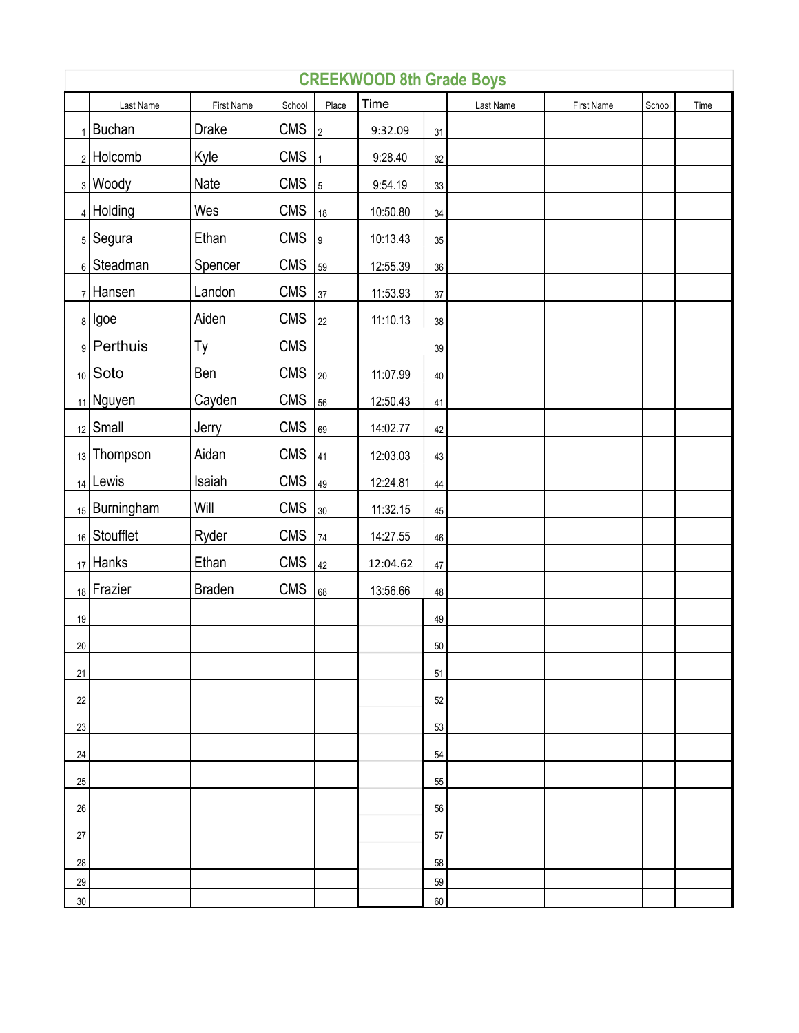|        | <b>CREEKWOOD 8th Grade Boys</b> |               |            |                |          |        |           |            |        |      |  |  |  |
|--------|---------------------------------|---------------|------------|----------------|----------|--------|-----------|------------|--------|------|--|--|--|
|        | Last Name                       | First Name    | School     | Place          | Time     |        | Last Name | First Name | School | Time |  |  |  |
|        | $1$ Buchan                      | <b>Drake</b>  | <b>CMS</b> | $\frac{1}{2}$  | 9:32.09  | 31     |           |            |        |      |  |  |  |
|        | $2$ Holcomb                     | Kyle          | <b>CMS</b> | 1              | 9:28.40  | 32     |           |            |        |      |  |  |  |
|        | <sub>3</sub> Woody              | Nate          | <b>CMS</b> | $\overline{5}$ | 9:54.19  | 33     |           |            |        |      |  |  |  |
|        | $4$ Holding                     | Wes           | <b>CMS</b> | 18             | 10:50.80 | $34\,$ |           |            |        |      |  |  |  |
|        | $5$ Segura                      | Ethan         | <b>CMS</b> | 9              | 10:13.43 | 35     |           |            |        |      |  |  |  |
|        | 6 Steadman                      | Spencer       | <b>CMS</b> | 59             | 12:55.39 | $36\,$ |           |            |        |      |  |  |  |
|        | $7$ Hansen                      | Landon        | <b>CMS</b> | 37             | 11:53.93 | 37     |           |            |        |      |  |  |  |
|        | $8$   Igoe                      | Aiden         | <b>CMS</b> | $22\,$         | 11:10.13 | $38\,$ |           |            |        |      |  |  |  |
|        | 9 Perthuis                      | Ty            | <b>CMS</b> |                |          | $39\,$ |           |            |        |      |  |  |  |
|        | $10$ Soto                       | Ben           | <b>CMS</b> | 20             | 11:07.99 | $40\,$ |           |            |        |      |  |  |  |
|        | $_{11}$ Nguyen                  | Cayden        | <b>CMS</b> | 56             | 12:50.43 | 41     |           |            |        |      |  |  |  |
|        | $_{12}$ Small                   | Jerry         | <b>CMS</b> | 69             | 14:02.77 | 42     |           |            |        |      |  |  |  |
|        | $_{13}$ Thompson                | Aidan         | <b>CMS</b> | 41             | 12:03.03 | 43     |           |            |        |      |  |  |  |
|        | $14$ Lewis                      | Isaiah        | <b>CMS</b> | 49             | 12:24.81 | $44\,$ |           |            |        |      |  |  |  |
|        | $15$ Burningham                 | Will          | <b>CMS</b> | $30\,$         | 11:32.15 | 45     |           |            |        |      |  |  |  |
|        | 16 Stoufflet                    | Ryder         | <b>CMS</b> | 74             | 14:27.55 | 46     |           |            |        |      |  |  |  |
|        | $17$ Hanks                      | Ethan         | <b>CMS</b> | 42             | 12:04.62 | 47     |           |            |        |      |  |  |  |
|        | 18 Frazier                      | <b>Braden</b> | CMS        | 68             | 13:56.66 | 48     |           |            |        |      |  |  |  |
| 19     |                                 |               |            |                |          | 49     |           |            |        |      |  |  |  |
| $20\,$ |                                 |               |            |                |          | $50\,$ |           |            |        |      |  |  |  |
| 21     |                                 |               |            |                |          | 51     |           |            |        |      |  |  |  |
| 22     |                                 |               |            |                |          | 52     |           |            |        |      |  |  |  |
| 23     |                                 |               |            |                |          | 53     |           |            |        |      |  |  |  |
| 24     |                                 |               |            |                |          | 54     |           |            |        |      |  |  |  |
| 25     |                                 |               |            |                |          | 55     |           |            |        |      |  |  |  |
| 26     |                                 |               |            |                |          | 56     |           |            |        |      |  |  |  |
| 27     |                                 |               |            |                |          | 57     |           |            |        |      |  |  |  |
| 28     |                                 |               |            |                |          | 58     |           |            |        |      |  |  |  |
| 29     |                                 |               |            |                |          | 59     |           |            |        |      |  |  |  |
| $30\,$ |                                 |               |            |                |          | 60     |           |            |        |      |  |  |  |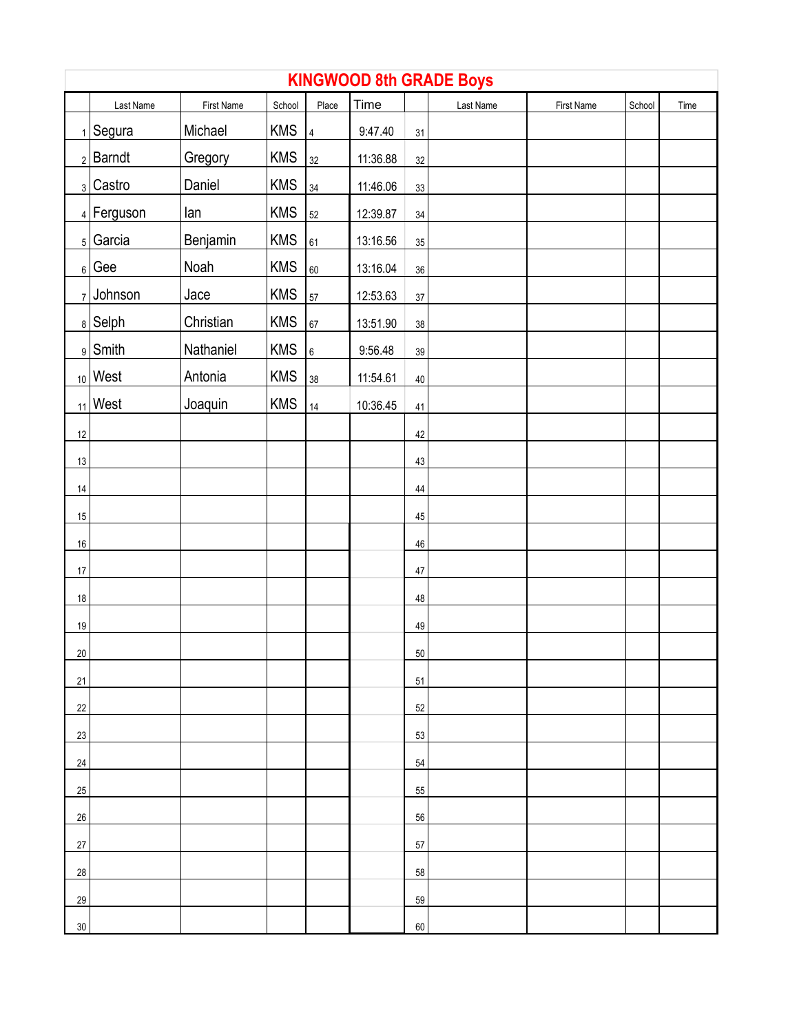|                 | <b>KINGWOOD 8th GRADE Boys</b> |            |            |                |          |        |           |            |        |      |  |  |  |
|-----------------|--------------------------------|------------|------------|----------------|----------|--------|-----------|------------|--------|------|--|--|--|
|                 | Last Name                      | First Name | School     | Place          | Time     |        | Last Name | First Name | School | Time |  |  |  |
|                 | $_1$ Segura                    | Michael    | <b>KMS</b> | $\overline{4}$ | 9:47.40  | 31     |           |            |        |      |  |  |  |
|                 | $2$ Barndt                     | Gregory    | <b>KMS</b> | 32             | 11:36.88 | 32     |           |            |        |      |  |  |  |
|                 | 3 Castro                       | Daniel     | <b>KMS</b> | 34             | 11:46.06 | 33     |           |            |        |      |  |  |  |
|                 | 4 Ferguson                     | lan        | <b>KMS</b> | 52             | 12:39.87 | 34     |           |            |        |      |  |  |  |
|                 | $_5$ Garcia                    | Benjamin   | <b>KMS</b> | 61             | 13:16.56 | $35\,$ |           |            |        |      |  |  |  |
|                 | $_6$ Gee                       | Noah       | <b>KMS</b> | 60             | 13:16.04 | $36\,$ |           |            |        |      |  |  |  |
|                 | $7$ Johnson                    | Jace       | <b>KMS</b> | 57             | 12:53.63 | $37\,$ |           |            |        |      |  |  |  |
|                 | $8$ Selph                      | Christian  | <b>KMS</b> | 67             | 13:51.90 | $38\,$ |           |            |        |      |  |  |  |
|                 | $9$ Smith                      | Nathaniel  | <b>KMS</b> | $6\phantom{a}$ | 9:56.48  | $39\,$ |           |            |        |      |  |  |  |
|                 | $_{10}$ West                   | Antonia    | <b>KMS</b> | 38             | 11:54.61 | $40\,$ |           |            |        |      |  |  |  |
|                 | $_{11}$ West                   | Joaquin    | <b>KMS</b> | $14\,$         | 10:36.45 | 41     |           |            |        |      |  |  |  |
| 12              |                                |            |            |                |          | 42     |           |            |        |      |  |  |  |
| 13              |                                |            |            |                |          | 43     |           |            |        |      |  |  |  |
| 14              |                                |            |            |                |          | 44     |           |            |        |      |  |  |  |
| 15              |                                |            |            |                |          | $45\,$ |           |            |        |      |  |  |  |
| $16\,$          |                                |            |            |                |          | 46     |           |            |        |      |  |  |  |
| $17\,$          |                                |            |            |                |          | $47\,$ |           |            |        |      |  |  |  |
| $18\,$          |                                |            |            |                |          | 48     |           |            |        |      |  |  |  |
| $19$            |                                |            |            |                |          | 49     |           |            |        |      |  |  |  |
| 20 <sup>°</sup> |                                |            |            |                |          | $50\,$ |           |            |        |      |  |  |  |
| 21              |                                |            |            |                |          | 51     |           |            |        |      |  |  |  |
| 22              |                                |            |            |                |          | 52     |           |            |        |      |  |  |  |
| 23              |                                |            |            |                |          | 53     |           |            |        |      |  |  |  |
| 24              |                                |            |            |                |          | 54     |           |            |        |      |  |  |  |
| $25\,$          |                                |            |            |                |          | 55     |           |            |        |      |  |  |  |
| $26\,$          |                                |            |            |                |          | 56     |           |            |        |      |  |  |  |
| $27\,$          |                                |            |            |                |          | 57     |           |            |        |      |  |  |  |
| 28              |                                |            |            |                |          | 58     |           |            |        |      |  |  |  |
| 29              |                                |            |            |                |          | 59     |           |            |        |      |  |  |  |
| $30\,$          |                                |            |            |                |          | 60     |           |            |        |      |  |  |  |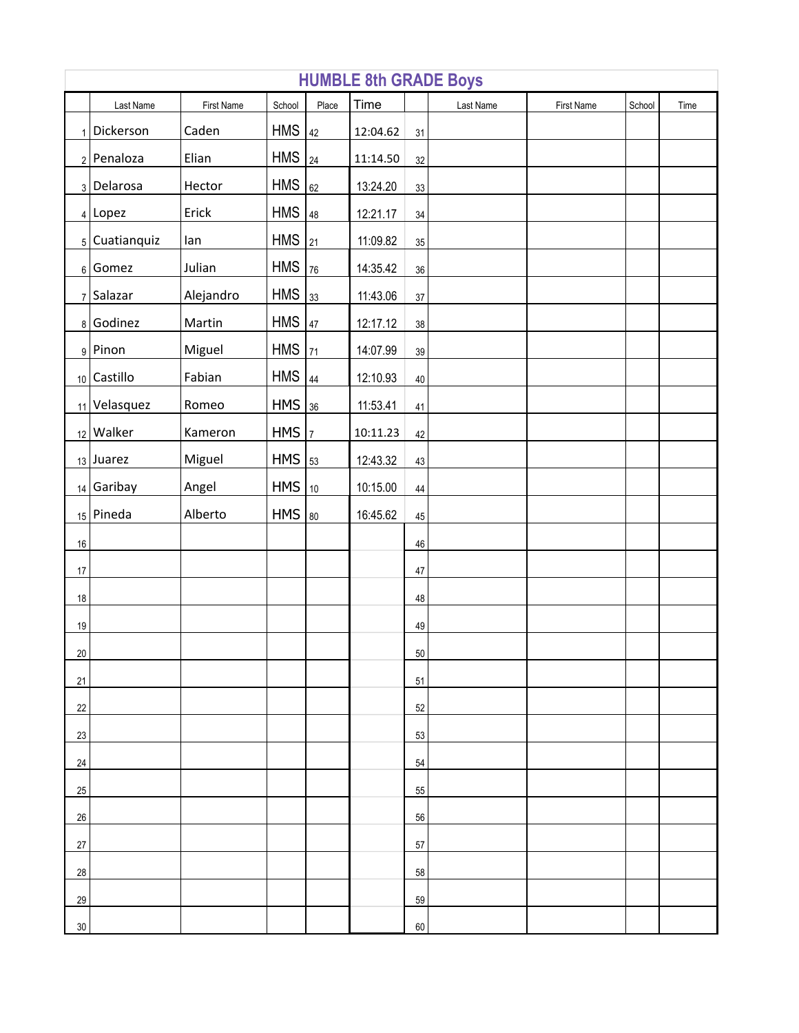|        | <b>HUMBLE 8th GRADE Boys</b> |            |            |                |          |        |           |            |        |      |  |  |
|--------|------------------------------|------------|------------|----------------|----------|--------|-----------|------------|--------|------|--|--|
|        | Last Name                    | First Name | School     | Place          | Time     |        | Last Name | First Name | School | Time |  |  |
|        | $1$ Dickerson                | Caden      | <b>HMS</b> | 42             | 12:04.62 | 31     |           |            |        |      |  |  |
|        | 2 Penaloza                   | Elian      | <b>HMS</b> | 24             | 11:14.50 | 32     |           |            |        |      |  |  |
|        | 3 Delarosa                   | Hector     | <b>HMS</b> | 62             | 13:24.20 | 33     |           |            |        |      |  |  |
|        | $4$ Lopez                    | Erick      | <b>HMS</b> | 48             | 12:21.17 | $34\,$ |           |            |        |      |  |  |
|        | $_5$ Cuatianquiz             | lan        | <b>HMS</b> | 21             | 11:09.82 | $35\,$ |           |            |        |      |  |  |
|        | $6$ Gomez                    | Julian     | <b>HMS</b> | 76             | 14:35.42 | $36\,$ |           |            |        |      |  |  |
|        | $7$ Salazar                  | Alejandro  | <b>HMS</b> | 33             | 11:43.06 | $37\,$ |           |            |        |      |  |  |
|        | 8 Godinez                    | Martin     | <b>HMS</b> | 47             | 12:17.12 | $38\,$ |           |            |        |      |  |  |
|        | $9$ Pinon                    | Miguel     | <b>HMS</b> | 71             | 14:07.99 | $39\,$ |           |            |        |      |  |  |
|        | 10 Castillo                  | Fabian     | <b>HMS</b> | 44             | 12:10.93 | $40\,$ |           |            |        |      |  |  |
|        | 11 Velasquez                 | Romeo      | $HMS$ 36   |                | 11:53.41 | 41     |           |            |        |      |  |  |
|        | 12 Walker                    | Kameron    | HMS        | $\overline{7}$ | 10:11.23 | 42     |           |            |        |      |  |  |
|        | $13$ Juarez                  | Miguel     | $HMS$ $53$ |                | 12:43.32 | 43     |           |            |        |      |  |  |
|        | $14$ Garibay                 | Angel      | $HMS$  10  |                | 10:15.00 | $44\,$ |           |            |        |      |  |  |
|        | $15$ Pineda                  | Alberto    | $HMS$ 80   |                | 16:45.62 | $45\,$ |           |            |        |      |  |  |
| 16     |                              |            |            |                |          | $46\,$ |           |            |        |      |  |  |
| $17\,$ |                              |            |            |                |          | $47\,$ |           |            |        |      |  |  |
| 18     |                              |            |            |                |          | 48     |           |            |        |      |  |  |
| $19$   |                              |            |            |                |          | 49     |           |            |        |      |  |  |
| 20     |                              |            |            |                |          | 50     |           |            |        |      |  |  |
| 21     |                              |            |            |                |          | 51     |           |            |        |      |  |  |
| 22     |                              |            |            |                |          | 52     |           |            |        |      |  |  |
| 23     |                              |            |            |                |          | 53     |           |            |        |      |  |  |
| 24     |                              |            |            |                |          | 54     |           |            |        |      |  |  |
| 25     |                              |            |            |                |          | 55     |           |            |        |      |  |  |
| 26     |                              |            |            |                |          | 56     |           |            |        |      |  |  |
| 27     |                              |            |            |                |          | 57     |           |            |        |      |  |  |
| 28     |                              |            |            |                |          | 58     |           |            |        |      |  |  |
| 29     |                              |            |            |                |          | 59     |           |            |        |      |  |  |
| $30\,$ |                              |            |            |                |          | 60     |           |            |        |      |  |  |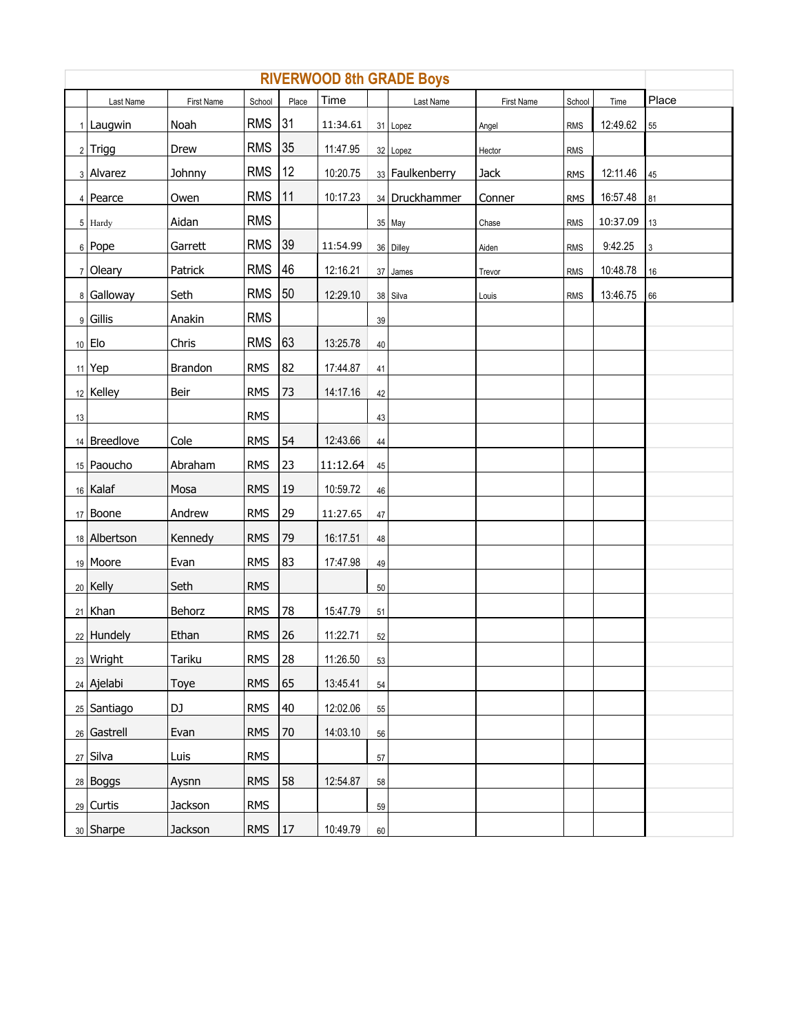| <b>RIVERWOOD 8th GRADE Boys</b> |                     |                |               |       |          |    |                 |            |            |          |                           |  |
|---------------------------------|---------------------|----------------|---------------|-------|----------|----|-----------------|------------|------------|----------|---------------------------|--|
|                                 | Last Name           | First Name     | School        | Place | Time     |    | Last Name       | First Name | School     | Time     | Place                     |  |
|                                 | 1 Laugwin           | Noah           | RMS 31        |       | 11:34.61 |    | 31 Lopez        | Angel      | <b>RMS</b> | 12:49.62 | 55                        |  |
|                                 | $2$ Trigg           | Drew           | <b>RMS</b>    | 35    | 11:47.95 |    | 32 Lopez        | Hector     | <b>RMS</b> |          |                           |  |
|                                 | 3 Alvarez           | Johnny         | RMS           | 12    | 10:20.75 |    | 33 Faulkenberry | Jack       | <b>RMS</b> | 12:11.46 | 45                        |  |
|                                 | 4 Pearce            | Owen           | <b>RMS</b>    | 11    | 10:17.23 |    | 34 Druckhammer  | Conner     | <b>RMS</b> | 16:57.48 | 81                        |  |
|                                 | 5 Hardy             | Aidan          | <b>RMS</b>    |       |          |    | 35 May          | Chase      | <b>RMS</b> | 10:37.09 | $13$                      |  |
|                                 | 6 Pope              | Garrett        | RMS 39        |       | 11:54.99 |    | 36 Dilley       | Aiden      | <b>RMS</b> | 9:42.25  | $\ensuremath{\mathsf{3}}$ |  |
|                                 | 7 Oleary            | Patrick        | <b>RMS 46</b> |       | 12:16.21 |    | 37 James        | Trevor     | <b>RMS</b> | 10:48.78 | $16\,$                    |  |
|                                 | 8 Galloway          | Seth           | RMS 50        |       | 12:29.10 |    | 38 Silva        | Louis      | <b>RMS</b> | 13:46.75 | 66                        |  |
|                                 | 9 Gillis            | Anakin         | <b>RMS</b>    |       |          | 39 |                 |            |            |          |                           |  |
|                                 | 10 Elo              | Chris          | RMS 63        |       | 13:25.78 | 40 |                 |            |            |          |                           |  |
|                                 | $11$ <sup>Yep</sup> | <b>Brandon</b> | <b>RMS</b>    | 82    | 17:44.87 | 41 |                 |            |            |          |                           |  |
|                                 | 12 Kelley           | Beir           | <b>RMS</b>    | 73    | 14:17.16 | 42 |                 |            |            |          |                           |  |
| 13                              |                     |                | <b>RMS</b>    |       |          | 43 |                 |            |            |          |                           |  |
|                                 | 14 Breedlove        | Cole           | <b>RMS</b>    | 54    | 12:43.66 | 44 |                 |            |            |          |                           |  |
|                                 | 15 Paoucho          | Abraham        | <b>RMS</b>    | 23    | 11:12.64 | 45 |                 |            |            |          |                           |  |
|                                 | 16 Kalaf            | Mosa           | <b>RMS</b>    | 19    | 10:59.72 | 46 |                 |            |            |          |                           |  |
|                                 | 17 Boone            | Andrew         | <b>RMS</b>    | 29    | 11:27.65 | 47 |                 |            |            |          |                           |  |
|                                 | 18 Albertson        | Kennedy        | <b>RMS</b>    | 79    | 16:17.51 | 48 |                 |            |            |          |                           |  |
|                                 | 19 Moore            | Evan           | <b>RMS</b>    | 83    | 17:47.98 | 49 |                 |            |            |          |                           |  |
|                                 | 20 Kelly            | Seth           | <b>RMS</b>    |       |          | 50 |                 |            |            |          |                           |  |
|                                 | 21 Khan             | Behorz         | <b>RMS</b>    | 78    | 15:47.79 | 51 |                 |            |            |          |                           |  |
|                                 | 22 Hundely          | Ethan          | <b>RMS</b>    | 26    | 11:22.71 | 52 |                 |            |            |          |                           |  |
|                                 | 23 Wright           | Tariku         | <b>RMS</b>    | 28    | 11:26.50 | 53 |                 |            |            |          |                           |  |
|                                 | $24$ Ajelabi        | Toye           | <b>RMS</b>    | 65    | 13:45.41 | 54 |                 |            |            |          |                           |  |
|                                 | 25 Santiago         | DJ             | <b>RMS</b>    | 40    | 12:02.06 | 55 |                 |            |            |          |                           |  |
|                                 | 26 Gastrell         | Evan           | <b>RMS</b>    | 70    | 14:03.10 | 56 |                 |            |            |          |                           |  |
|                                 | 27 Silva            | Luis           | <b>RMS</b>    |       |          | 57 |                 |            |            |          |                           |  |
|                                 | 28 Boggs            | Aysnn          | <b>RMS</b>    | 58    | 12:54.87 | 58 |                 |            |            |          |                           |  |
|                                 | $29$ Curtis         | Jackson        | <b>RMS</b>    |       |          | 59 |                 |            |            |          |                           |  |
|                                 | 30 Sharpe           | Jackson        | $RMS$   17    |       | 10:49.79 | 60 |                 |            |            |          |                           |  |